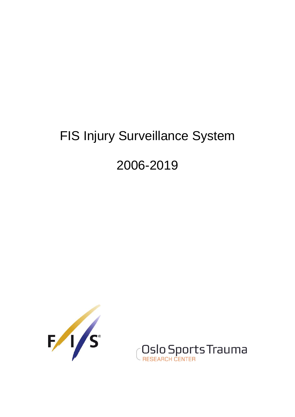# FIS Injury Surveillance System

# 2006-2019



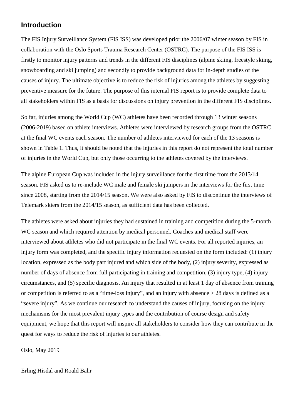#### **Introduction**

The FIS Injury Surveillance System (FIS ISS) was developed prior the 2006/07 winter season by FIS in collaboration with the Oslo Sports Trauma Research Center (OSTRC). The purpose of the FIS ISS is firstly to monitor injury patterns and trends in the different FIS disciplines (alpine skiing, freestyle skiing, snowboarding and ski jumping) and secondly to provide background data for in-depth studies of the causes of injury. The ultimate objective is to reduce the risk of injuries among the athletes by suggesting preventive measure for the future. The purpose of this internal FIS report is to provide complete data to all stakeholders within FIS as a basis for discussions on injury prevention in the different FIS disciplines.

So far, injuries among the World Cup (WC) athletes have been recorded through 13 winter seasons (2006-2019) based on athlete interviews. Athletes were interviewed by research groups from the OSTRC at the final WC events each season. The number of athletes interviewed for each of the 13 seasons is shown in Table 1. Thus, it should be noted that the injuries in this report do not represent the total number of injuries in the World Cup, but only those occurring to the athletes covered by the interviews.

The alpine European Cup was included in the injury surveillance for the first time from the 2013/14 season. FIS asked us to re-include WC male and female ski jumpers in the interviews for the first time since 2008, starting from the 2014/15 season. We were also asked by FIS to discontinue the interviews of Telemark skiers from the 2014/15 season, as sufficient data has been collected.

The athletes were asked about injuries they had sustained in training and competition during the 5-month WC season and which required attention by medical personnel. Coaches and medical staff were interviewed about athletes who did not participate in the final WC events. For all reported injuries, an injury form was completed, and the specific injury information requested on the form included: (1) injury location, expressed as the body part injured and which side of the body, (2) injury severity, expressed as number of days of absence from full participating in training and competition, (3) injury type, (4) injury circumstances, and (5) specific diagnosis. An injury that resulted in at least 1 day of absence from training or competition is referred to as a "time-loss injury", and an injury with absence > 28 days is defined as a "severe injury". As we continue our research to understand the causes of injury, focusing on the injury mechanisms for the most prevalent injury types and the contribution of course design and safety equipment, we hope that this report will inspire all stakeholders to consider how they can contribute in the quest for ways to reduce the risk of injuries to our athletes.

Oslo, May 2019

Erling Hisdal and Roald Bahr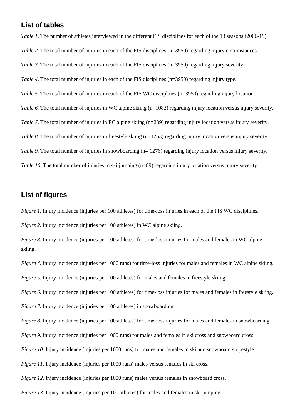#### **List of tables**

*Table 1*. The number of athletes interviewed in the different FIS disciplines for each of the 13 seasons (2006-19). *Table 2.* The total number of injuries in each of the FIS disciplines (n=3950) regarding injury circumstances. *Table 3.* The total number of injuries in each of the FIS disciplines (n=3950) regarding injury severity. *Table 4*. The total number of injuries in each of the FIS disciplines (n=3950) regarding injury type. *Table 5*. The total number of injuries in each of the FIS WC disciplines (n=3950) regarding injury location. *Table 6.* The total number of injuries in WC alpine skiing (n=1083) regarding injury location versus injury severity. *Table 7*. The total number of injuries in EC alpine skiing (n=239) regarding injury location versus injury severity. *Table 8.* The total number of injuries in freestyle skiing (n=1263) regarding injury location versus injury severity. *Table 9.* The total number of injuries in snowboarding (n= 1276) regarding injury location versus injury severity. *Table 10.* The total number of injuries in ski jumping (n=89) regarding injury location versus injury severity.

#### **List of figures**

*Figure 1.* Injury incidence (injuries per 100 athletes) for time-loss injuries in each of the FIS WC disciplines.

*Figure 2.* Injury incidence (injuries per 100 athletes) in WC alpine skiing.

*Figure 3.* Injury incidence (injuries per 100 athletes) for time-loss injuries for males and females in WC alpine skiing.

*Figure 4.* Injury incidence (injuries per 1000 runs) for time-loss injuries for males and females in WC alpine skiing.

*Figure 5.* Injury incidence (injuries per 100 athletes) for males and females in freestyle skiing.

*Figure 6.* Injury incidence (injuries per 100 athletes) for time-loss injuries for males and females in freestyle skiing.

*Figure 7.* Injury incidence (injuries per 100 athletes) in snowboarding.

*Figure 8.* Injury incidence (injuries per 100 athletes) for time-loss injuries for males and females in snowboarding.

*Figure 9.* Injury incidence (injuries per 1000 runs) for males and females in ski cross and snowboard cross.

*Figure 10.* Injury incidence (injuries per 1000 runs) for males and females in ski and snowboard slopestyle.

*Figure 11.* Injury incidence (injuries per 1000 runs) males versus females in ski cross.

*Figure 12.* Injury incidence (injuries per 1000 runs) males versus females in snowboard cross.

*Figure 13*. Injury incidence (injuries per 100 athletes) for males and females in ski jumping.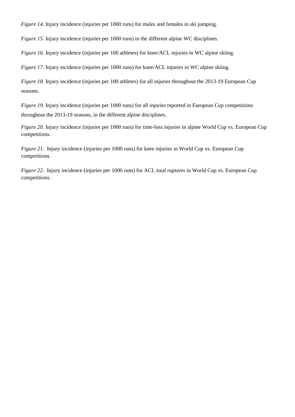*Figure 14.* Injury incidence (injuries per 1000 runs) for males and females in ski jumping.

*Figure 15.* Injury incidence (injuries per 1000 runs) in the different alpine WC disciplines.

*Figure 16.* Injury incidence (injuries per 100 athletes) for knee/ACL injuries in WC alpine skiing.

*Figure 17.* Injury incidence (injuries per 1000 runs) for knee/ACL injuries in WC alpine skiing.

*Figure 18.* Injury incidence (injuries per 100 athletes) for all injuries throughout the 2013-19 European Cup seasons.

*Figure 19.* Injury incidence (injuries per 1000 runs) for all injuries reported in European Cup competitions throughout the 2013-19 seasons, in the different alpine disciplines.

*Figure 20.* Injury incidence (injuries per 1000 runs) for time-loss injuries in alpine World Cup vs. European Cup competitions.

*Figure 21.* Injury incidence (injuries per 1000 runs) for knee injuries in World Cup vs. European Cup competitions.

*Figure 22.* Injury incidence (injuries per 1000 runs) for ACL total ruptures in World Cup vs. European Cup competitions.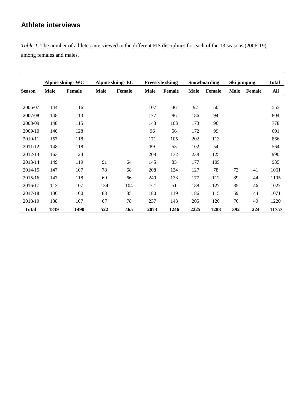# **Athlete interviews**

*Table 1*. The number of athletes interviewed in the different FIS disciplines for each of the 13 seasons (2006-19) among females and males.

|               | Alpine skiing-WC |        | Alpine skiing-EC |               |             | <b>Freestyle skiing</b> |             | Snowboarding  |      | Ski jumping |       |
|---------------|------------------|--------|------------------|---------------|-------------|-------------------------|-------------|---------------|------|-------------|-------|
| <b>Season</b> | <b>Male</b>      | Female | <b>Male</b>      | <b>Female</b> | <b>Male</b> | Female                  | <b>Male</b> | <b>Female</b> | Male | Female      | All   |
|               |                  |        |                  |               |             |                         |             |               |      |             |       |
| 2006/07       | 144              | 116    |                  |               | 107         | 46                      | 92          | 50            |      |             | 555   |
| 2007/08       | 148              | 113    |                  |               | 177         | 86                      | 186         | 94            |      |             | 804   |
| 2008/09       | 148              | 115    |                  |               | 143         | 103                     | 173         | 96            |      |             | 778   |
| 2009/10       | 140              | 128    |                  |               | 96          | 56                      | 172         | 99            |      |             | 691   |
| 2010/11       | 157              | 118    |                  |               | 171         | 105                     | 202         | 113           |      |             | 866   |
| 2011/12       | 148              | 118    |                  |               | 89          | 53                      | 102         | 54            |      |             | 564   |
| 2012/13       | 163              | 124    |                  |               | 208         | 132                     | 238         | 125           |      |             | 990   |
| 2013/14       | 149              | 119    | 91               | 64            | 145         | 85                      | 177         | 105           |      |             | 935   |
| 2014/15       | 147              | 107    | 78               | 68            | 208         | 134                     | 127         | 78            | 73   | 41          | 1061  |
| 2015/16       | 147              | 118    | 69               | 66            | 240         | 133                     | 177         | 112           | 89   | 44          | 1195  |
| 2016/17       | 113              | 107    | 134              | 104           | 72          | 51                      | 188         | 127           | 85   | 46          | 1027  |
| 2017/18       | 100              | 100    | 83               | 85            | 180         | 119                     | 186         | 115           | 59   | 44          | 1071  |
| 2018/19       | 138              | 107    | 67               | 78            | 237         | 143                     | 205         | 120           | 76   | 49          | 1220  |
| <b>Total</b>  | 1839             | 1490   | 522              | 465           | 2073        | 1246                    | 2225        | 1288          | 392  | 224         | 11757 |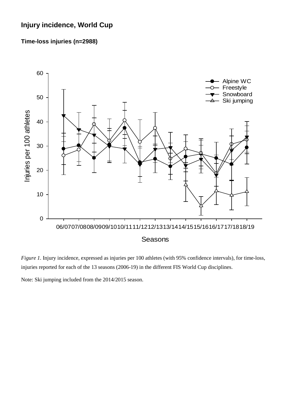# **Injury incidence, World Cup**

#### **Time-loss injuries (n=2988)**



*Figure 1.* Injury incidence, expressed as injuries per 100 athletes (with 95% confidence intervals), for time-loss, injuries reported for each of the 13 seasons (2006-19) in the different FIS World Cup disciplines.

Note: Ski jumping included from the 2014/2015 season.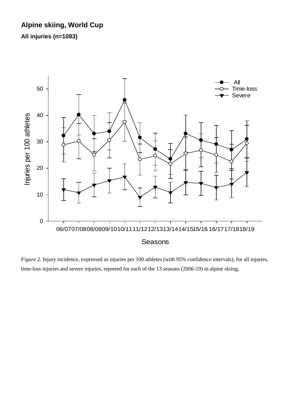# **Alpine skiing, World Cup**

**All injuries (n=1083)**



*Figure 2.* Injury incidence, expressed as injuries per 100 athletes (with 95% confidence intervals), for all injuries, time-loss injuries and severe injuries, reported for each of the 13 seasons (2006-19) in alpine skiing.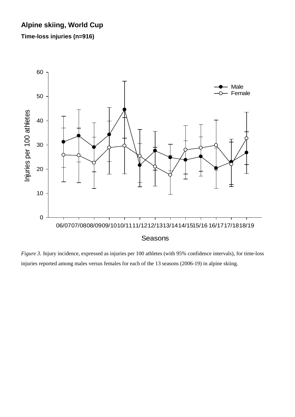# **Alpine skiing, World Cup**

**Time-loss injuries (n=916)**



*Figure 3*. Injury incidence, expressed as injuries per 100 athletes (with 95% confidence intervals), for time-loss injuries reported among males versus females for each of the 13 seasons (2006-19) in alpine skiing.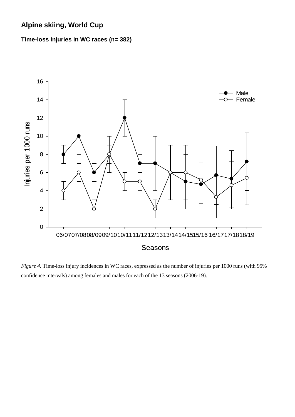# **Alpine skiing, World Cup**

**Time-loss injuries in WC races (n= 382)**



*Figure 4.* Time-loss injury incidences in WC races, expressed as the number of injuries per 1000 runs (with 95% confidence intervals) among females and males for each of the 13 seasons (2006-19).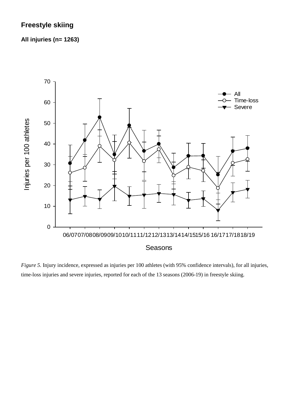# **Freestyle skiing**

#### **All injuries (n= 1263)**



*Figure 5.* Injury incidence, expressed as injuries per 100 athletes (with 95% confidence intervals), for all injuries, time-loss injuries and severe injuries, reported for each of the 13 seasons (2006-19) in freestyle skiing.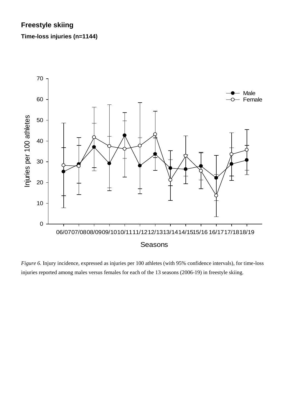# **Freestyle skiing**

**Time-loss injuries (n=1144)**



*Figure 6.* Injury incidence, expressed as injuries per 100 athletes (with 95% confidence intervals), for time-loss injuries reported among males versus females for each of the 13 seasons (2006-19) in freestyle skiing.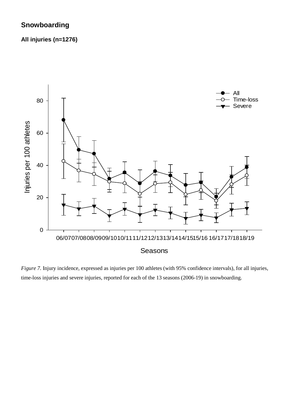# **Snowboarding**

**All injuries (n=1276)**



*Figure 7.* Injury incidence, expressed as injuries per 100 athletes (with 95% confidence intervals), for all injuries, time-loss injuries and severe injuries, reported for each of the 13 seasons (2006-19) in snowboarding.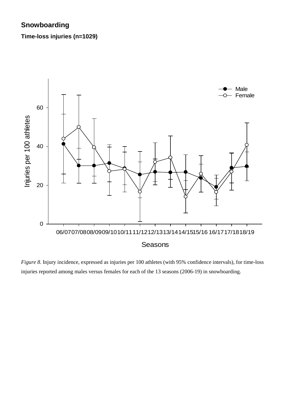# **Snowboarding**

**Time-loss injuries (n=1029)** 



*Figure 8.* Injury incidence, expressed as injuries per 100 athletes (with 95% confidence intervals), for time-loss injuries reported among males versus females for each of the 13 seasons (2006-19) in snowboarding.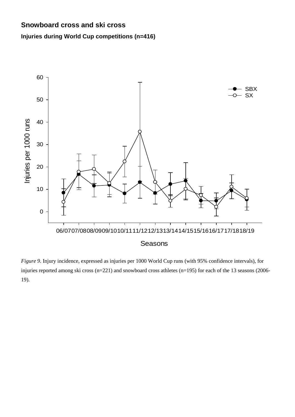# **Snowboard cross and ski cross**

### **Injuries during World Cup competitions (n=416)**



*Figure 9.* Injury incidence, expressed as injuries per 1000 World Cup runs (with 95% confidence intervals), for injuries reported among ski cross (n=221) and snowboard cross athletes (n=195) for each of the 13 seasons (2006- 19).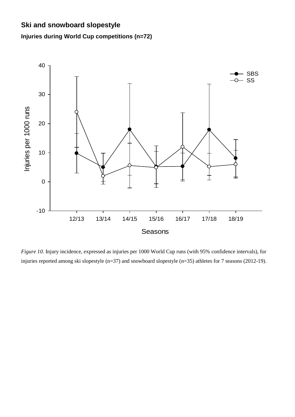# **Ski and snowboard slopestyle**

# **Injuries during World Cup competitions (n=72)**



*Figure 10.* Injury incidence, expressed as injuries per 1000 World Cup runs (with 95% confidence intervals), for injuries reported among ski slopestyle (n=37) and snowboard slopestyle (n=35) athletes for 7 seasons (2012-19).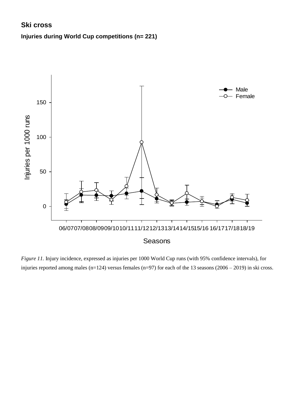# **Ski cross**

### **Injuries during World Cup competitions (n= 221)**



*Figure 11.* Injury incidence, expressed as injuries per 1000 World Cup runs (with 95% confidence intervals), for injuries reported among males (n=124) versus females (n=97) for each of the 13 seasons (2006 – 2019) in ski cross.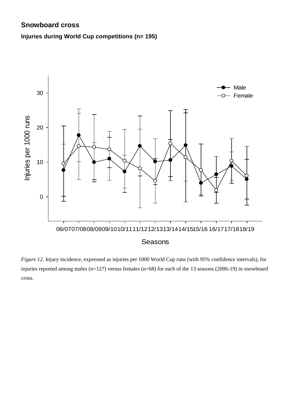# **Snowboard cross**

### **Injuries during World Cup competitions (n= 195)**



*Figure 12.* Injury incidence, expressed as injuries per 1000 World Cup runs (with 95% confidence intervals), for injuries reported among males (n=127) versus females (n=68) for each of the 13 seasons (2006-19) in snowboard cross.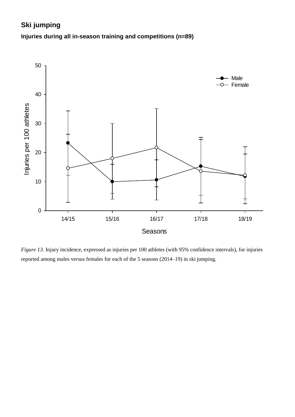# **Ski jumping Injuries during all in-season training and competitions (n=89)**



*Figure 13.* Injury incidence, expressed as injuries per 100 athletes (with 95% confidence intervals), for injuries reported among males versus females for each of the 5 seasons (2014–19) in ski jumping.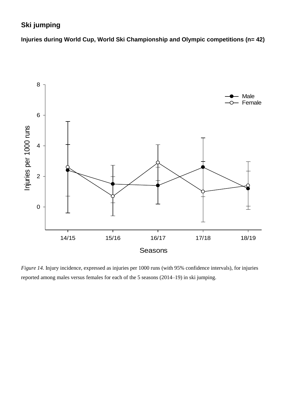# **Ski jumping**

**Injuries during World Cup, World Ski Championship and Olympic competitions (n= 42)**



*Figure 14.* Injury incidence, expressed as injuries per 1000 runs (with 95% confidence intervals), for injuries reported among males versus females for each of the 5 seasons (2014–19) in ski jumping.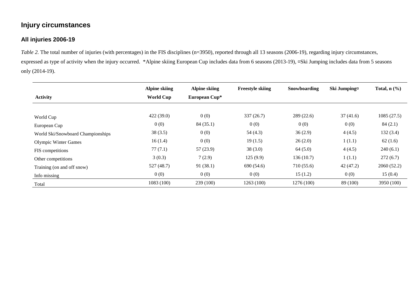# **Injury circumstances**

#### **All injuries 2006-19**

*Table 2*. The total number of injuries (with percentages) in the FIS disciplines (n=3950), reported through all 13 seasons (2006-19), regarding injury circumstances, expressed as type of activity when the injury occurred. \*Alpine skiing European Cup includes data from 6 seasons (2013-19), ¤Ski Jumping includes data from 5 seasons only (2014-19).

| <b>Activity</b>                   | Alpine skiing<br><b>World Cup</b> | Alpine skiing<br>European Cup* | <b>Freestyle skiing</b> | Snowboarding | Ski Jumping <sub>¤</sub> | Total, $n$ $(\%)$ |
|-----------------------------------|-----------------------------------|--------------------------------|-------------------------|--------------|--------------------------|-------------------|
|                                   |                                   |                                |                         |              |                          |                   |
| World Cup                         | 422(39.0)                         | 0(0)                           | 337(26.7)               | 289(22.6)    | 37(41.6)                 | 1085(27.5)        |
| European Cup                      | 0(0)                              | 84(35.1)                       | 0(0)                    | 0(0)         | 0(0)                     | 84(2.1)           |
| World Ski/Snowboard Championships | 38(3.5)                           | 0(0)                           | 54(4.3)                 | 36(2.9)      | 4(4.5)                   | 132(3.4)          |
| <b>Olympic Winter Games</b>       | 16(1.4)                           | 0(0)                           | 19(1.5)                 | 26(2.0)      | 1(1.1)                   | 62(1.6)           |
| FIS competitions                  | 77(7.1)                           | 57(23.9)                       | 38(3.0)                 | 64(5.0)      | 4(4.5)                   | 240(6.1)          |
| Other competitions                | 3(0.3)                            | 7(2.9)                         | 125(9.9)                | 136(10.7)    | 1(1.1)                   | 272(6.7)          |
| Training (on and off snow)        | 527(48.7)                         | 91(38.1)                       | 690 (54.6)              | 710 (55.6)   | 42(47.2)                 | 2060(52.2)        |
| Info missing                      | 0(0)                              | 0(0)                           | 0(0)                    | 15(1.2)      | 0(0)                     | 15(0.4)           |
| Total                             | 1083(100)                         | 239 (100)                      | 1263(100)               | 1276 (100)   | 89 (100)                 | 3950 (100)        |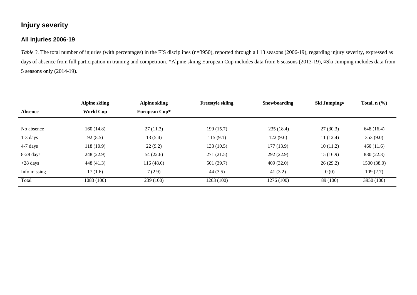# **Injury severity**

#### **All injuries 2006-19**

*Table 3*. The total number of injuries (with percentages) in the FIS disciplines (n=3950), reported through all 13 seasons (2006-19), regarding injury severity, expressed as days of absence from full participation in training and competition. \*Alpine skiing European Cup includes data from 6 seasons (2013-19), ¤Ski Jumping includes data from 5 seasons only (2014-19).

|                | <b>Alpine skiing</b> | Alpine skiing | <b>Freestyle skiing</b> | Snowboarding | Ski Jumping¤ | Total, $n$ $(\%)$ |  |
|----------------|----------------------|---------------|-------------------------|--------------|--------------|-------------------|--|
| <b>Absence</b> | <b>World Cup</b>     | European Cup* |                         |              |              |                   |  |
|                |                      |               |                         |              |              |                   |  |
| No absence     | 160(14.8)            | 27(11.3)      | 199 (15.7)              | 235(18.4)    | 27(30.3)     | 648 (16.4)        |  |
| $1-3$ days     | 92(8.5)              | 13(5.4)       | 115(9.1)                | 122(9.6)     | 11(12.4)     | 353(9.0)          |  |
| $4-7$ days     | 118(10.9)            | 22(9.2)       | 133(10.5)               | 177(13.9)    | 10(11.2)     | 460(11.6)         |  |
| $8-28$ days    | 248 (22.9)           | 54(22.6)      | 271 (21.5)              | 292(22.9)    | 15(16.9)     | 880 (22.3)        |  |
| $>28$ days     | 448 (41.3)           | 116(48.6)     | 501 (39.7)              | 409(32.0)    | 26(29.2)     | 1500(38.0)        |  |
| Info missing   | 17(1.6)              | 7(2.9)        | 44(3.5)                 | 41(3.2)      | 0(0)         | 109(2.7)          |  |
| Total          | 1083 (100)           | 239 (100)     | 1263 (100)              | 1276 (100)   | 89 (100)     | 3950 (100)        |  |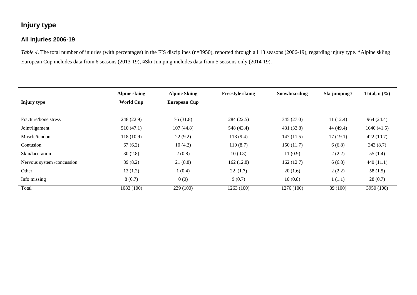# **Injury type**

#### **All injuries 2006-19**

*Table 4*. The total number of injuries (with percentages) in the FIS disciplines (n=3950), reported through all 13 seasons (2006-19), regarding injury type. \*Alpine skiing European Cup includes data from 6 seasons (2013-19), ¤Ski Jumping includes data from 5 seasons only (2014-19).

|                           | <b>Alpine skiing</b> | <b>Alpine Skiing</b> | <b>Freestyle skiing</b> | Snowboarding | Ski jumping <sub>x</sub> | Total, $n$ $(\%)$ |
|---------------------------|----------------------|----------------------|-------------------------|--------------|--------------------------|-------------------|
| Injury type               | <b>World Cup</b>     | European Cup         |                         |              |                          |                   |
|                           |                      |                      |                         |              |                          |                   |
| Fracture/bone stress      | 248 (22.9)           | 76(31.8)             | 284 (22.5)              | 345(27.0)    | 11(12.4)                 | 964 (24.4)        |
| Joint/ligament            | 510(47.1)            | 107(44.8)            | 548 (43.4)              | 431 (33.8)   | 44 (49.4)                | 1640(41.5)        |
| Muscle/tendon             | 118(10.9)            | 22(9.2)              | 118(9.4)                | 147(11.5)    | 17(19.1)                 | 422(10.7)         |
| Contusion                 | 67(6.2)              | 10(4.2)              | 110(8.7)                | 150(11.7)    | 6(6.8)                   | 343(8.7)          |
| Skin/laceration           | 30(2.8)              | 2(0.8)               | 10(0.8)                 | 11(0.9)      | 2(2.2)                   | 55(1.4)           |
| Nervous system/concussion | 89 (8.2)             | 21(8.8)              | 162(12.8)               | 162(12.7)    | 6(6.8)                   | 440(11.1)         |
| Other                     | 13(1.2)              | 1(0.4)               | 22(1.7)                 | 20(1.6)      | 2(2.2)                   | 58(1.5)           |
| Info missing              | 8(0.7)               | 0(0)                 | 9(0.7)                  | 10(0.8)      | 1(1.1)                   | 28(0.7)           |
| Total                     | 1083(100)            | 239(100)             | 1263(100)               | 1276 (100)   | 89 (100)                 | 3950 (100)        |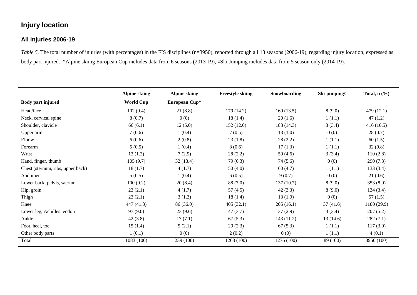# **Injury location**

#### **All injuries 2006-19**

*Table* 5. The total number of injuries (with percentages) in the FIS disciplines (n=3950), reported through all 13 seasons (2006-19), regarding injury location, expressed as body part injured. \*Alpine skiing European Cup includes data from 6 seasons (2013-19), ¤Ski Jumping includes data from 5 season only (2014-19).

|                                   | <b>Alpine skiing</b> | <b>Alpine skiing</b> | <b>Freestyle skiing</b> | Snowboarding | Ski jumping¤ | Total, $n$ $(\%)$ |
|-----------------------------------|----------------------|----------------------|-------------------------|--------------|--------------|-------------------|
| Body part injured                 | <b>World Cup</b>     | European Cup*        |                         |              |              |                   |
| Head/face                         | 102(9.4)             | 21(8.8)              | 179 (14.2)              | 169(13.5)    | 8(9.0)       | 479 (12.1)        |
| Neck, cervical spine              | 8(0.7)               | 0(0)                 | 18(1.4)                 | 20(1.6)      | 1(1.1)       | 47(1.2)           |
| Shoulder, clavicle                | 66(6.1)              | 12(5.0)              | 152(12.0)               | 183 (14.3)   | 3(3.4)       | 416(10.5)         |
| Upper arm                         | 7(0.6)               | 1(0.4)               | 7(0.5)                  | 13(1.0)      | 0(0)         | 28(0.7)           |
| Elbow                             | 6(0.6)               | 2(0.8)               | 23(1.8)                 | 28(2.2)      | 1(1.1)       | 60(1.5)           |
| Forearm                           | 5(0.5)               | 1(0.4)               | 8(0.6)                  | 17(1.3)      | 1(1.1)       | 32(0.8)           |
| Wrist                             | 13(1.2)              | 7(2.9)               | 28(2.2)                 | 59 (4.6)     | 3(3.4)       | 110(2.8)          |
| Hand, finger, thumb               | 105(9.7)             | 32(13.4)             | 79(6.3)                 | 74 (5.6)     | 0(0)         | 290(7.3)          |
| Chest (sternum, ribs, upper back) | 18(1.7)              | 4(1.7)               | 50(4.0)                 | 60(4.7)      | 1(1.1)       | 133(3.4)          |
| Abdomen                           | 5(0.5)               | 1(0.4)               | 6(0.5)                  | 9(0.7)       | 0(0)         | 21(0.6)           |
| Lower back, pelvis, sacrum        | 100(9.2)             | 20(8.4)              | 88 (7.0)                | 137(10.7)    | 8(9.0)       | 353(8.9)          |
| Hip, groin                        | 23(2.1)              | 4(1.7)               | 57(4.5)                 | 42(3.3)      | 8(9.0)       | 134(3.4)          |
| Thigh                             | 23(2.1)              | 3(1.3)               | 18(1.4)                 | 13(1.0)      | 0(0)         | 57(1.5)           |
| Knee                              | 447 (41.3)           | 86 (36.0)            | 405(32.1)               | 205(16.1)    | 37(41.6)     | 1180 (29.9)       |
| Lower leg, Achilles tendon        | 97(9.0)              | 23(9.6)              | 47(3.7)                 | 37(2.9)      | 3(3.4)       | 207(5.2)          |
| Ankle                             | 42(3.8)              | 17(7.1)              | 67(5.3)                 | 143 (11.2)   | 13(14.6)     | 282(7.1)          |
| Foot, heel, toe                   | 15(1.4)              | 5(2.1)               | 29(2.3)                 | 67(5.3)      | 1(1.1)       | 117(3.0)          |
| Other body parts                  | 1(0.1)               | 0(0)                 | 2(0.2)                  | 0(0)         | 1(1.1)       | 4(0.1)            |
| Total                             | 1083 (100)           | 239 (100)            | 1263 (100)              | 1276 (100)   | 89 (100)     | 3950 (100)        |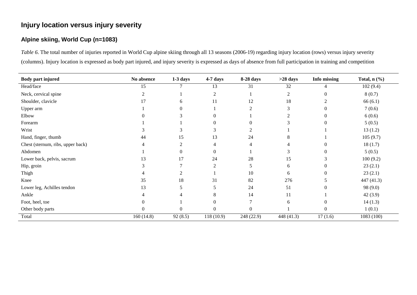# **Injury location versus injury severity**

#### **Alpine skiing, World Cup (n=1083)**

*Table 6*. The total number of injuries reported in World Cup alpine skiing through all 13 seasons (2006-19) regarding injury location (rows) versus injury severity (columns). Injury location is expressed as body part injured, and injury severity is expressed as days of absence from full participation in training and competition

| <b>Body part injured</b>          | No absence | $1-3$ days   | 4-7 days         | 8-28 days  | $>28$ days     | Info missing | Total, $n$ $(\%)$ |
|-----------------------------------|------------|--------------|------------------|------------|----------------|--------------|-------------------|
| Head/face                         | 15         |              | 13               | 31         | 32             |              | 102(9.4)          |
| Neck, cervical spine              |            |              | 2                |            | $\overline{2}$ |              | 8(0.7)            |
| Shoulder, clavicle                | 17         | 6            | 11               | 12         | 18             |              | 66(6.1)           |
| Upper arm                         |            |              |                  |            |                |              | 7(0.6)            |
| Elbow                             |            |              | $\Omega$         |            |                |              | 6(0.6)            |
| Forearm                           |            |              | $\Omega$         | 0          | 3              |              | 5(0.5)            |
| Wrist                             |            |              | 3                | 2          |                |              | 13(1.2)           |
| Hand, finger, thumb               | 44         | 15           | 13               | 24         |                |              | 105(9.7)          |
| Chest (sternum, ribs, upper back) |            |              |                  |            |                |              | 18(1.7)           |
| Abdomen                           |            | 0            | $\theta$         |            |                |              | 5(0.5)            |
| Lower back, pelvis, sacrum        | 13         | 17           | 24               | 28         | 15             |              | 100(9.2)          |
| Hip, groin                        |            |              | 2                | 5          | 6              |              | 23(2.1)           |
| Thigh                             |            |              |                  | 10         | 6              |              | 23(2.1)           |
| Knee                              | 35         | 18           | 31               | 82         | 276            |              | 447 (41.3)        |
| Lower leg, Achilles tendon        | 13         |              |                  | 24         | 51             |              | 98 (9.0)          |
| Ankle                             |            |              | 8                | 14         | 11             |              | 42(3.9)           |
| Foot, heel, toe                   |            |              | $\Omega$         |            | 6              |              | 14(1.3)           |
| Other body parts                  | 0          | $\mathbf{0}$ | $\boldsymbol{0}$ | $\theta$   |                | $\theta$     | 1(0.1)            |
| Total                             | 160(14.8)  | 92(8.5)      | 118 (10.9)       | 248 (22.9) | 448 (41.3)     | 17(1.6)      | 1083 (100)        |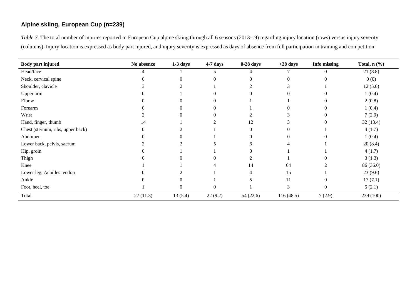#### **Alpine skiing, European Cup (n=239)**

*Table 7*. The total number of injuries reported in European Cup alpine skiing through all 6 seasons (2013-19) regarding injury location (rows) versus injury severity (columns). Injury location is expressed as body part injured, and injury severity is expressed as days of absence from full participation in training and competition

| Body part injured                 | No absence | $1-3$ days | 4-7 days       | 8-28 days | $>28$ days | Info missing      | Total, $n$ $(\%)$ |
|-----------------------------------|------------|------------|----------------|-----------|------------|-------------------|-------------------|
| Head/face                         |            |            | 5              |           |            | $\theta$          | 21(8.8)           |
| Neck, cervical spine              | 0          |            | $\overline{0}$ | $\Omega$  | $\Omega$   | $\Omega$          | 0(0)              |
| Shoulder, clavicle                |            |            |                | ↑         | 3          |                   | 12(5.0)           |
| Upper arm                         |            |            | $\Omega$       |           |            | 0                 | 1(0.4)            |
| Elbow                             |            |            | $\Omega$       |           |            | $\Omega$          | 2(0.8)            |
| Forearm                           |            |            | $\theta$       |           |            | $\overline{0}$    | 1(0.4)            |
| Wrist                             |            |            | $\Omega$       |           | J.         | $\overline{0}$    | 7(2.9)            |
| Hand, finger, thumb               | 14         |            |                | 12        | 3          | $\Omega$          | 32(13.4)          |
| Chest (sternum, ribs, upper back) | $\theta$   |            |                | $\Omega$  |            |                   | 4(1.7)            |
| Abdomen                           |            |            |                |           |            | $\mathbf{\Omega}$ | 1(0.4)            |
| Lower back, pelvis, sacrum        |            |            |                | 6         |            |                   | 20(8.4)           |
| Hip, groin                        |            |            |                |           |            |                   | 4(1.7)            |
| Thigh                             |            |            |                |           |            |                   | 3(1.3)            |
| Knee                              |            |            |                | 14        | 64         |                   | 86 (36.0)         |
| Lower leg, Achilles tendon        |            |            |                |           | 15         |                   | 23(9.6)           |
| Ankle                             |            |            |                | 5         | 11         | $\overline{0}$    | 17(7.1)           |
| Foot, heel, toe                   |            |            | $\overline{0}$ |           | 3          | $\overline{0}$    | 5(2.1)            |
| Total                             | 27(11.3)   | 13(5.4)    | 22(9.2)        | 54(22.6)  | 116(48.5)  | 7(2.9)            | 239 (100)         |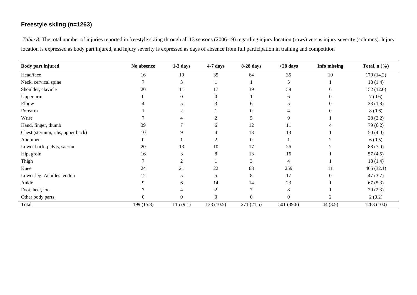#### **Freestyle skiing (n=1263)**

*Table 8.* The total number of injuries reported in freestyle skiing through all 13 seasons (2006-19) regarding injury location (rows) versus injury severity (columns). Injury location is expressed as body part injured, and injury severity is expressed as days of absence from full participation in training and competition

| <b>Body part injured</b>          | No absence       | $1-3$ days | 4-7 days       | 8-28 days     | $>28$ days | Info missing   | Total, $n$ $(\%)$ |
|-----------------------------------|------------------|------------|----------------|---------------|------------|----------------|-------------------|
| Head/face                         | 16               | 19         | 35             | 64            | 35         | 10             | 179 (14.2)        |
| Neck, cervical spine              |                  | 3          |                |               | 5          |                | 18(1.4)           |
| Shoulder, clavicle                | 20               | 11         | 17             | 39            | 59         | 6              | 152(12.0)         |
| Upper arm                         | $\overline{0}$   | 0          | 0              |               | 6          |                | 7(0.6)            |
| Elbow                             |                  |            |                | 6             |            |                | 23(1.8)           |
| Forearm                           |                  |            |                |               |            |                | 8(0.6)            |
| Wrist                             |                  |            |                |               | 9          |                | 28(2.2)           |
| Hand, finger, thumb               | 39               |            | 6              | 12            | 11         |                | 79 (6.2)          |
| Chest (sternum, ribs, upper back) | 10               |            |                | 13            | 13         |                | 50(4.0)           |
| Abdomen                           | $\boldsymbol{0}$ |            |                | $\theta$      |            |                | 6(0.5)            |
| Lower back, pelvis, sacrum        | 20               | 13         | 10             | 17            | 26         |                | 88 (7.0)          |
| Hip, groin                        | 16               | 3          | 8              | 13            | 16         |                | 57 $(4.5)$        |
| Thigh                             |                  |            |                | 3             | 4          |                | 18(1.4)           |
| Knee                              | 24               | 21         | 22             | 68            | 259        | 11             | 405(32.1)         |
| Lower leg, Achilles tendon        | 12               |            | 5              | 8             | 17         |                | 47(3.7)           |
| Ankle                             | 9                | 6          | 14             | 14            | 23         |                | 67(5.3)           |
| Foot, heel, toe                   |                  |            | $\overline{2}$ | $\mathcal{I}$ | 8          |                | 29(2.3)           |
| Other body parts                  | 0                | 0          | $\Omega$       | $\Omega$      | 0          | $\mathfrak{D}$ | 2(0.2)            |
| Total                             | 199(15.8)        | 115(9.1)   | 133(10.5)      | 271 (21.5)    | 501 (39.6) | 44 $(3.5)$     | 1263 (100)        |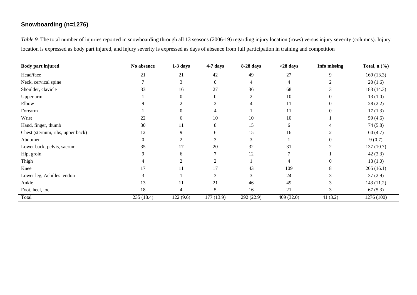# **Snowboarding (n=1276)**

*Table 9.* The total number of injuries reported in snowboarding through all 13 seasons (2006-19) regarding injury location (rows) versus injury severity (columns). Injury location is expressed as body part injured, and injury severity is expressed as days of absence from full participation in training and competition

| <b>Body part injured</b>          | No absence     | $1-3$ days     | 4-7 days         | 8-28 days      | $>28$ days | Info missing | Total, $n$ $(\%)$ |
|-----------------------------------|----------------|----------------|------------------|----------------|------------|--------------|-------------------|
| Head/face                         | 21             | 21             | 42               | 49             | 27         | 9            | 169(13.3)         |
| Neck, cervical spine              |                | 3              | $\boldsymbol{0}$ | 4              | 4          |              | 20(1.6)           |
| Shoulder, clavicle                | 33             | 16             | 27               | 36             | 68         |              | 183 (14.3)        |
| Upper arm                         |                | $\Omega$       | $\overline{0}$   | $\overline{2}$ | 10         | $\Omega$     | 13(1.0)           |
| Elbow                             | 9              | 2              | 2                | 4              | 11         | 0            | 28(2.2)           |
| Forearm                           |                | $\theta$       | 4                |                | 11         | 0            | 17(1.3)           |
| Wrist                             | 22             | 6              | 10               | 10             | 10         |              | 59 (4.6)          |
| Hand, finger, thumb               | 30             | 11             | 8                | 15             | 6          |              | 74(5.8)           |
| Chest (sternum, ribs, upper back) | 12             | 9              | 6                | 15             | 16         |              | 60(4.7)           |
| Abdomen                           | $\overline{0}$ |                | 3                | 3              |            |              | 9(0.7)            |
| Lower back, pelvis, sacrum        | 35             | 17             | 20               | 32             | 31         |              | 137(10.7)         |
| Hip, groin                        | 9              | 6              | 7                | 12             |            |              | 42(3.3)           |
| Thigh                             | 4              | $\gamma$       | 2                |                | 4          | $\Omega$     | 13(1.0)           |
| Knee                              | 17             | 11             | 17               | 43             | 109        | 8            | 205(16.1)         |
| Lower leg, Achilles tendon        | 3              |                | 3                | 3              | 24         |              | 37(2.9)           |
| Ankle                             | 13             | 11             | 21               | 46             | 49         | 3            | 143 (11.2)        |
| Foot, heel, toe                   | 18             | $\overline{4}$ | 5                | 16             | 21         | 3            | 67(5.3)           |
| Total                             | 235 (18.4)     | 122(9.6)       | 177 (13.9)       | 292 (22.9)     | 409 (32.0) | 41(3.2)      | 1276 (100)        |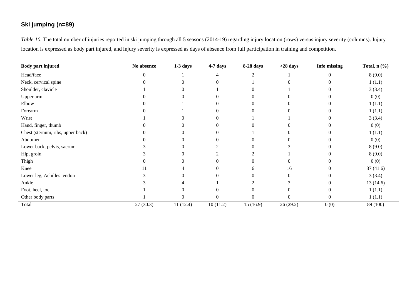# **Ski jumping (n=89)**

*Table 10.* The total number of injuries reported in ski jumping through all 5 seasons (2014-19) regarding injury location (rows) versus injury severity (columns). Injury location is expressed as body part injured, and injury severity is expressed as days of absence from full participation in training and competition.

| <b>Body part injured</b>          | No absence | $1-3$ days | 4-7 days | 8-28 days | $>28$ days | Info missing | Total, $n$ $(\frac{9}{6})$ |
|-----------------------------------|------------|------------|----------|-----------|------------|--------------|----------------------------|
| Head/face                         | $\Omega$   |            |          |           |            | $\Omega$     | 8(9.0)                     |
| Neck, cervical spine              |            | 0          |          |           |            | 0            | 1(1.1)                     |
| Shoulder, clavicle                |            |            |          |           |            |              | 3(3.4)                     |
| Upper arm                         |            |            |          |           |            |              | 0(0)                       |
| Elbow                             |            |            |          |           |            |              | 1(1.1)                     |
| Forearm                           |            |            |          |           |            |              | 1(1.1)                     |
| Wrist                             |            |            | 0        |           |            | 0            | 3(3.4)                     |
| Hand, finger, thumb               |            |            |          |           |            |              | 0(0)                       |
| Chest (sternum, ribs, upper back) |            | 0          |          |           |            | 0            | 1(1.1)                     |
| Abdomen                           |            |            |          |           |            |              | 0(0)                       |
| Lower back, pelvis, sacrum        |            | 0          |          |           |            |              | 8(9.0)                     |
| Hip, groin                        |            | 0          |          |           |            | 0            | 8(9.0)                     |
| Thigh                             |            |            |          |           |            |              | 0(0)                       |
| Knee                              |            |            |          | 6.        | 16         |              | 37(41.6)                   |
| Lower leg, Achilles tendon        |            |            |          |           | 0          |              | 3(3.4)                     |
| Ankle                             |            |            |          |           |            | 0            | 13(14.6)                   |
| Foot, heel, toe                   |            | 0          |          | 0         | $\Omega$   | 0            | 1(1.1)                     |
| Other body parts                  |            | $\theta$   | $\Omega$ | $\Omega$  | 0          | $\Omega$     | 1(1.1)                     |
| Total                             | 27(30.3)   | 11(12.4)   | 10(11.2) | 15(16.9)  | 26(29.2)   | 0(0)         | 89 (100)                   |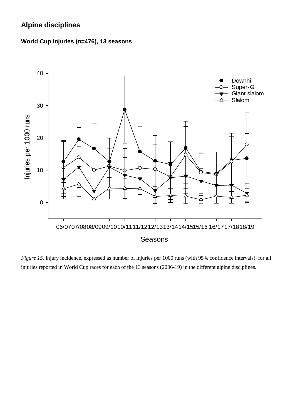# **Alpine disciplines**





*Figure 15.* Injury incidence, expressed as number of injuries per 1000 runs (with 95% confidence intervals), for all injuries reported in World Cup races for each of the 13 seasons (2006-19) in the different alpine disciplines.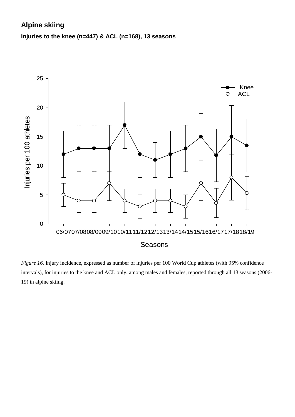# **Alpine skiing**

### **Injuries to the knee (n=447) & ACL (n=168), 13 seasons**



*Figure 16.* Injury incidence, expressed as number of injuries per 100 World Cup athletes (with 95% confidence intervals), for injuries to the knee and ACL only, among males and females, reported through all 13 seasons (2006- 19) in alpine skiing.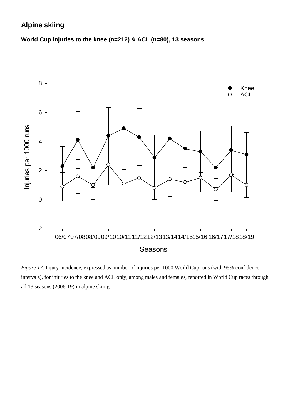# **Alpine skiing**

**World Cup injuries to the knee (n=212) & ACL (n=80), 13 seasons**



*Figure 17.* Injury incidence, expressed as number of injuries per 1000 World Cup runs (with 95% confidence intervals), for injuries to the knee and ACL only, among males and females, reported in World Cup races through all 13 seasons (2006-19) in alpine skiing.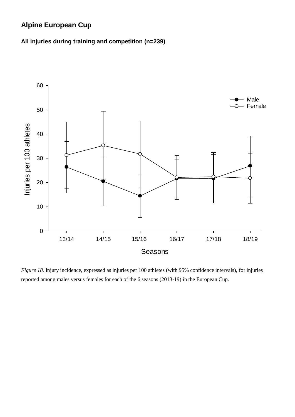# **Alpine European Cup**

#### **All injuries during training and competition (n=239)**



*Figure 18.* Injury incidence, expressed as injuries per 100 athletes (with 95% confidence intervals), for injuries reported among males versus females for each of the 6 seasons (2013-19) in the European Cup.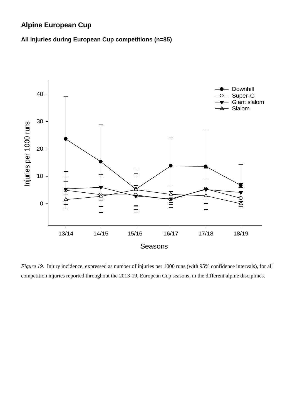# **Alpine European Cup**

#### **All injuries during European Cup competitions (n=85)**



*Figure 19.* Injury incidence, expressed as number of injuries per 1000 runs (with 95% confidence intervals), for all competition injuries reported throughout the 2013-19, European Cup seasons, in the different alpine disciplines.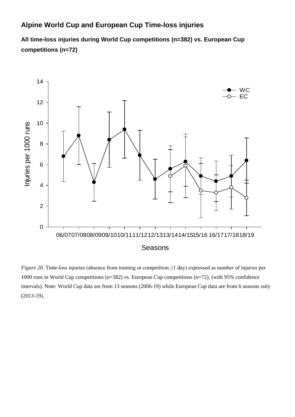# **Alpine World Cup and European Cup Time-loss injuries**

**All time-loss injuries during World Cup competitions (n=382) vs. European Cup competitions (n=72)**



*Figure 20.* Time-loss injuries (absence from training or competition ≥1 day) expressed as number of injuries per 1000 runs in World Cup competitions (n=382) vs. European Cup competitions (n=72), (with 95% confidence intervals). Note: World Cup data are from 13 seasons (2006-19) while European Cup data are from 6 seasons only (2013-19).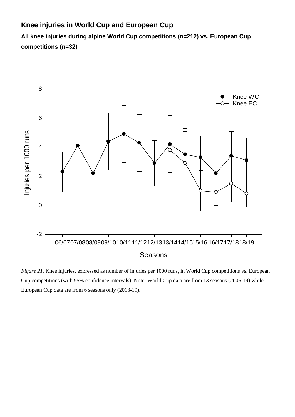# **Knee injuries in World Cup and European Cup**

**All knee injuries during alpine World Cup competitions (n=212) vs. European Cup competitions (n=32)**



*Figure 21.* Knee injuries, expressed as number of injuries per 1000 runs, in World Cup competitions vs. European Cup competitions (with 95% confidence intervals). Note: World Cup data are from 13 seasons (2006-19) while European Cup data are from 6 seasons only (2013-19).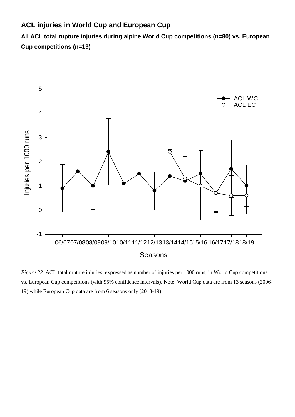# **ACL injuries in World Cup and European Cup**

**All ACL total rupture injuries during alpine World Cup competitions (n=80) vs. European Cup competitions (n=19)**



*Figure 22.* ACL total rupture injuries, expressed as number of injuries per 1000 runs, in World Cup competitions vs. European Cup competitions (with 95% confidence intervals). Note: World Cup data are from 13 seasons (2006- 19) while European Cup data are from 6 seasons only (2013-19).